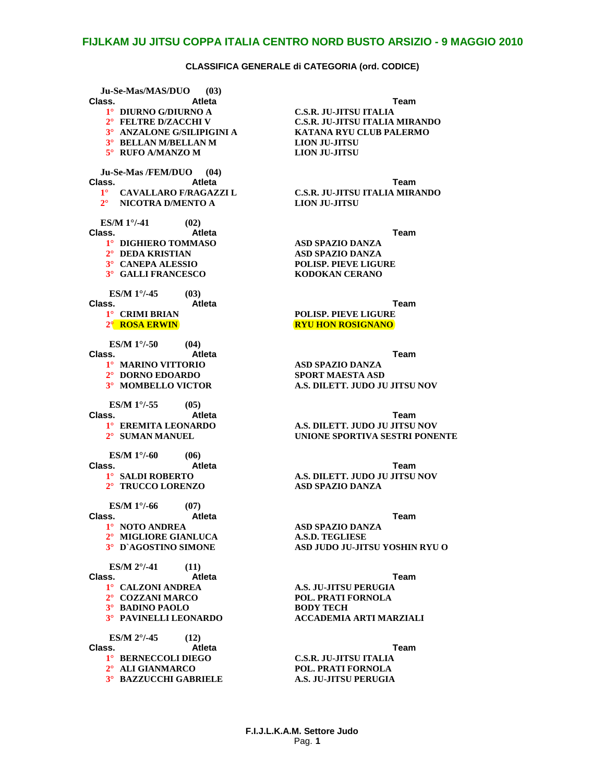**Ju-Se-Mas/MAS/DUO (03) Class. Atleta Team 1° DIURNO G/DIURNO A C.S.R. JU-JITSU ITALIA 3° BELLAN M/BELLAN M LION JU-JITSU**  $5^\circ$  **RUFO A/MANZO M Ju-Se-Mas /FEM/DUO (04) Class. Atleta Team 2° NICOTRA D/MENTO A LION JU-JITSU ES/M 1°/-41 (02) Class. Atleta Team 1° DIGHIERO TOMMASO ASD SPAZIO DANZA 2° DEDA KRISTIAN ASD SPAZIO DANZA 3° CANEPA ALESSIO POLISP. PIEVE LIGURE**  $3^\circ$  **GALLI FRANCESCO ES/M 1°/-45 (03) Class. Atleta Team 1° CRIMI BRIAN POLISP. PIEVE LIGURE 2° ROSA ERWIN RYU HON ROSIGNANO ES/M 1°/-50 (04) Class. Atleta Team 1° MARINO VITTORIO ASD SPAZIO DANZA**  $2^\circ$  **DORNO EDOARDO ES/M 1°/-55 (05) Class. Atleta Team ES/M 1°/-60 (06) Class. Atleta Team 2° TRUCCO LORENZO ASD SPAZIO DANZA ES/M 1°/-66 (07) Class. Atleta Team 1° NOTO ANDREA ASD SPAZIO DANZA 2° MIGLIORE GIANLUCA**<br>**3°** D'AGOSTINO SIMONE **ES/M 2°/-41** (11)<br>**Class. Atleta Class. Atleta Team 1° CALZONI ANDREA A.S. JU-JITSU PERUGIA 2° COZZANI MARCO POL. PRATI FORNOLA 3° BADINO PAOLO**<br>**3° PAVINELLI LEONARDO ES/M 2°/-45** (12)<br>**Class.** At **Class. Atleta Team 1° BERNECCOLI DIEGO C.S.R. JU-JITSU ITALIA 2° ALI GIANMARCO POL. PRATI FORNOLA 3° BAZZUCCHI GABRIELE** 

**2° FELTRE D/ZACCHI V C.S.R. JU-JITSU ITALIA MIRANDO 3° ANZALONE G/SILIPIGINI A KATANA RYU CLUB PALERMO**

**1° CAVALLARO F/RAGAZZI L C.S.R. JU-JITSU ITALIA MIRANDO**

**3° MOMBELLO VICTOR A.S. DILETT. JUDO JU JITSU NOV**

**1° EREMITA LEONARDO A.S. DILETT. JUDO JU JITSU NOV** *UNIONE SPORTIVA SESTRI PONENTE* 

**1° SALDI ROBERTO A.S. DILETT. JUDO JU JITSU NOV**

**3° D`AGOSTINO SIMONE ASD JUDO JU-JITSU YOSHIN RYU O**

**3° PAVINELLI LEONARDO ACCADEMIA ARTI MARZIALI**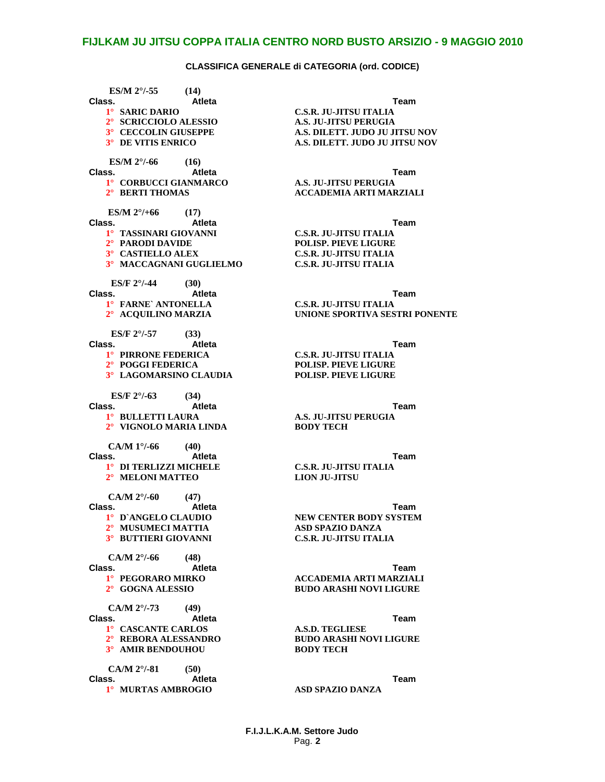**ES/M 2°/-55** (14)<br>**Class.** At **Class. Atleta Team 1° SARIC DARIO C.S.R. JU-JITSU ITALIA 2° SCRICCIOLO ALESSIO A.S. JU-JITSU PERUGIA 3° CECCOLIN GIUSEPPE A.S. DILETT. JUDO JU JITSU NOV 3° DE VITIS ENRICO A.S. DILETT. JUDO JU JITSU NOV ES/M 2°/-66 (16) Class. Atleta Team 1° CORBUCCI GIANMARCO A.S. JU-JITSU PERUGIA ES/M 2°/+66 (17) Class. Atleta Team 1° TASSINARI GIOVANNI C.S.R. JU-JITSU ITALIA 3° CASTIELLO ALEX C.S.R. JU-JITSU ITALIA 3° MACCAGNANI GUGLIELMO C.S.R. JU-JITSU ITALIA ES/F 2°/-44 (30) Class. Atleta Team 1° FARNE` ANTONELLA C.S.R. JU-JITSU ITALIA ES/F 2°/-57 (33) Class. Atleta Team 1° PIRRONE FEDERICA C.S.R. JU-JITSU ITALIA**  $3°$  **LAGOMARSINO CLAUDIA ES/F 2°/-63 (34) Class. Atleta Team 1° BULLETTI LAURA A.S. JU-JITSU PERUGIA 2° VIGNOLO MARIA LINDA BODY TECH CA/M 1°/-66 (40) Class. Atleta Team 1° DI TERLIZZI MICHELE C.S.R. JU-JITSU ITALIA 2° MELONI MATTEO CA/M 2°/-60 (47) Class. Atleta Team 1° D`ANGELO CLAUDIO NEW CENTER BODY SYSTEM 2° MUSUMECI MATTIA ASD SPAZIO DANZA 3° BUTTIERI GIOVANNI CA/M 2°/-66 (48) Class. Atleta Team 1° PEGORARO MIRKO ACCADEMIA ARTI MARZIALI 2° GOGNA ALESSIO BUDO ARASHI NOVI LIGURE CA/M 2°/-73 (49) Class. Atleta Team 1° CASCANTE CARLOS A.S.D. TEGLIESE 3° AMIR BENDOUHOU CA/M 2°/-81 (50) Class. Atleta Team 1° MURTAS AMBROGIO ASD SPAZIO DANZA**

**2° BERTI THOMAS ACCADEMIA ARTI MARZIALI**

 $POLISP.$  PIEVE LIGURE

*2* **UNIONE SPORTIVA SESTRI PONENTE** 

**2° POGGI FEDERICA POLISP. PIEVE LIGURE**

**2° REBORA ALESSANDRO BUDO ARASHI NOVI LIGURE**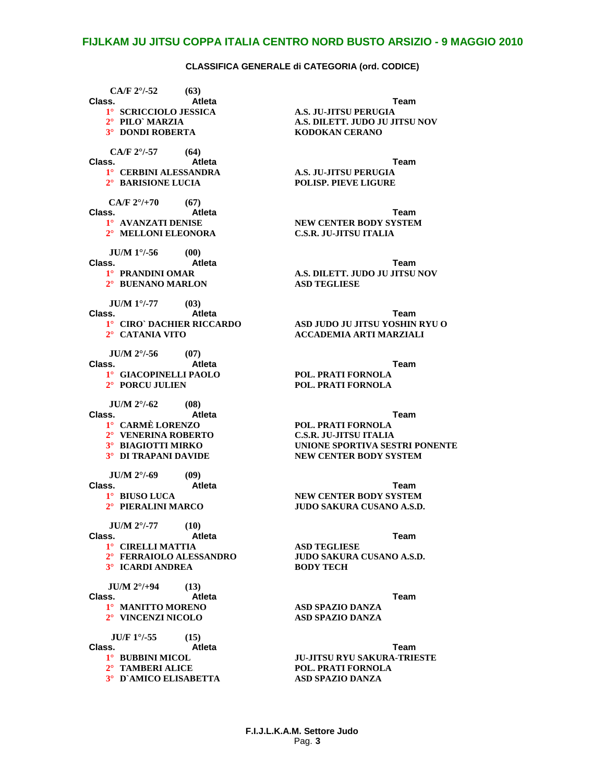**CA/F 2°/-52 (63) Class. Atleta Team 1° SCRICCIOLO JESSICA A.S. JU-JITSU PERUGIA 3° DONDI ROBERTA KODOKAN CERANO CA/F 2°/-57 (64) Class. Atleta Team 1° CERBINI ALESSANDRA A.S. JU-JITSU PERUGIA CA/F 2°/+70 (67) Class. Atleta Team 2° MELLONI ELEONORA JU/M 1°/-56 (00) Class. Atleta Team 2° BUENANO MARLON ASD TEGLIESE JU/M 1°/-77 (03) Class. Atleta Team JU/M 2°/-56 (07) Class. Atleta Team 1° GIACOPINELLI PAOLO POL. PRATI FORNOLA 2° PORCU JULIEN** *JU/M 2<sup>°</sup>/-62* **(08)**<br>**Class.** At **Class. Atleta Team 1° CARMÈ LORENZO POL. PRATI FORNOLA 2° VENERINA ROBERTO**<br>**3° BIAGIOTTI MIRKO JU/M 2°/-69 (09) Class. Atleta Team JU/M 2°/-77 (10) Class. Atleta Team 1° CIRELLI MATTIA ASD TEGLIESE 3° ICARDI ANDREA JU/M 2°/+94 (13) Class. Atleta Team 1° MANITTO MORENO ASD SPAZIO DANZA**  $2^\circ$  **VINCENZI NICOLO JU/F 1°/-55 (15) Class. Atleta Team 1° BUBBINI MICOL JU-JITSU RYU SAKURA-TRIESTE 3° D`AMICO ELISABETTA** 

**2° PILO` MARZIA A.S. DILETT. JUDO JU JITSU NOV 2° BARISIONE LUCIA POLISP. PIEVE LIGURE 1° AVANZATI DENISE NEW CENTER BODY SYSTEM 1° PRANDINI OMAR A.S. DILETT. JUDO JU JITSU NOV 1° CIRO` DACHIER RICCARDO ASD JUDO JU JITSU YOSHIN RYU O 2° CATANIA VITO ACCADEMIA ARTI MARZIALI UNIONE SPORTIVA SESTRI PONENTE 3° DI TRAPANI DAVIDE NEW CENTER BODY SYSTEM 1° BIUSO LUCA NEW CENTER BODY SYSTEM 2° PIERALINI MARCO JUDO SAKURA CUSANO A.S.D. 2° FERRAIOLO ALESSANDRO JUDO SAKURA CUSANO A.S.D.**

**2° POL. PRATI FORNOLA**<br>**ASD SPAZIO DANZA** 

**F.I.J.L.K.A.M. Settore Judo** Pag. **3**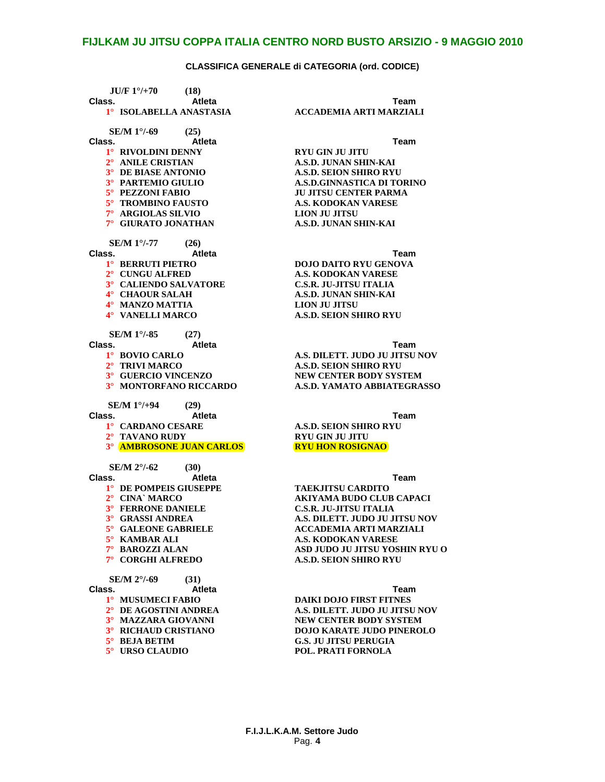| $JU/F 1^{\circ}/+70$<br>(18)              |                                  |
|-------------------------------------------|----------------------------------|
| Class.<br><b>Atleta</b>                   | Team                             |
| 1° ISOLABELLA ANASTASIA                   | <b>ACCADEMIA ARTI MARZIA</b>     |
| SE/M 1°/-69<br>(25)                       |                                  |
| Class.<br><b>Atleta</b>                   | Team                             |
| 1° RIVOLDINI DENNY                        | <b>RYU GIN JU JITU</b>           |
| 2° ANILE CRISTIAN                         | A.S.D. JUNAN SHIN-KAI            |
| 3° DE BIASE ANTONIO                       | <b>A.S.D. SEION SHIRO RYU</b>    |
| <sup>3</sup> <sup>°</sup> PARTEMIO GIULIO | <b>A.S.D.GINNASTICA DI TORIN</b> |
| 5° PEZZONI FABIO                          | <b>JU JITSU CENTER PARMA</b>     |
| 5° TROMBINO FAUSTO                        | <b>A.S. KODOKAN VARESE</b>       |
| 7° ARGIOLAS SILVIO                        | <b>LION JU JITSU</b>             |
| 7° GIURATO JONATHAN                       | A.S.D. JUNAN SHIN-KAI            |
| <b>SE/M 1<sup>o</sup>/-77</b><br>(26)     |                                  |
| Class.<br>Atleta                          | Team                             |
| 1° BERRUTI PIETRO                         | <b>DOJO DAITO RYU GENOVA</b>     |
| 2° CUNGU ALFRED                           | <b>A.S. KODOKAN VARESE</b>       |
| 3° CALIENDO SALVATORE                     | <b>C.S.R. JU-JITSU ITALIA</b>    |
| 4° CHAOUR SALAH                           | A.S.D. JUNAN SHIN-KAI            |
| 4° MANZO MATTIA                           | <b>LION JU JITSU</b>             |
| 4° VANELLI MARCO                          | <b>A.S.D. SEION SHIRO RYU</b>    |
| <b>SE/M 1<sup>o</sup>/-85</b><br>(27)     |                                  |
| Class.<br>Atleta                          | Team                             |
| 1° BOVIO CARLO                            | A.S. DILETT. JUDO JU JITSU       |
| 2° TRIVI MARCO                            | <b>A.S.D. SEION SHIRO RYU</b>    |
| 3° GUERCIO VINCENZO                       | <b>NEW CENTER BODY SYSTEM</b>    |
| 3° MONTORFANO RICCARDO                    | A.S.D. YAMATO ABBIATEGR          |
| <b>SE/M 1°/+94</b><br>(29)                |                                  |
| Class.<br><b>Atleta</b>                   | <b>Team</b>                      |
| 1° CARDANO CESARE                         | <b>A.S.D. SEION SHIRO RYU</b>    |
| 2° TAVANO RUDY                            | <b>RYU GIN JU JITU</b>           |
| <b>3º AMBROSONE JUAN CARLOS</b>           | <b>RYU HON ROSIGNAO</b>          |
| SE/M $2^{\circ}/-62$<br>(30)              |                                  |
| Class.<br><b>Atleta</b>                   | Team                             |
| 1° DE POMPEIS GIUSEPPE                    | <b>TAEKJITSU CARDITO</b>         |
| 2° CINA MARCO                             | <b>AKIYAMA BUDO CLUB CAP.</b>    |
| 3° FERRONE DANIELE                        | <b>C.S.R. JU-JITSU ITALIA</b>    |
| 3° GRASSI ANDREA                          | A.S. DILETT. JUDO JU JITSU       |
| 5° GALEONE GABRIELE                       | <b>ACCADEMIA ARTI MARZIA</b>     |
| 5° KAMBAR ALI                             | <b>A.S. KODOKAN VARESE</b>       |
| 7° BAROZZI ALAN                           | ASD JUDO JU JITSU YOSHIN         |
| $7^{\circ}$<br><b>CORGHI ALFREDO</b>      | <b>A.S.D. SEION SHIRO RYU</b>    |
| SE/M 2°/-69<br>(31)                       |                                  |
| Class.<br><b>Atleta</b>                   | Team                             |
| 1° MUSUMECI FABIO                         | <b>DAIKI DOJO FIRST FITNES</b>   |
| 2° DE AGOSTINI ANDREA                     | A.S. DILETT. JUDO JU JITSU       |
| 3° MAZZARA GIOVANNI                       | <b>NEW CENTER BODY SYSTEM</b>    |
| 3° RICHAUD CRISTIANO                      | <b>DOJO KARATE JUDO PINER</b>    |
| $5^\circ$ BEJA BETIM                      | <b>G.S. JU JITSU PERUGIA</b>     |
| 5° URSO CLAUDIO                           | POL. PRATI FORNOLA               |
|                                           |                                  |

# **1° ISOLABELLA ANASTASIA ACCADEMIA ARTI MARZIALI**

**2° ANILE CRISTIAN A.S.D. JUNAN SHIN-KAI**  $\overline{N}$  **SHIRO RYU 3° PARTEMIO GIULIO A.S.D.GINNASTICA DI TORINO**  $ENTER PARMA$ **5° TROMBINO FAUSTO A.S. KODOKAN VARESE**  $\overline{\mathbf{N}}$  SHIN-KAI

**1° BOVIO CARLO A.S. DILETT. JUDO JU JITSU NOV 2° TRIVI MARCO A.S.D. SEION SHIRO RYU**  $ER BODY SYSTEM$ **3° MONTORFANO RICCARDO A.S.D. YAMATO ABBIATEGRASSO**

**1° DE POMPEIS GIUSEPPE TAEKJITSU CARDITO**  $\overline{B}$ UDO CLUB CAPACI **3° FERRONE DANIELE C.S.R. JU-JITSU ITALIA 3° GRASSI ANDREA A.S. DILETT. JUDO JU JITSU NOV 5° GALEONE GABRIELE ACCADEMIA ARTI MARZIALI 5° KAMBAR ALI A.S. KODOKAN VARESE 7° BAROZZI ALAN ASD JUDO JU JITSU YOSHIN RYU O**  $\overline{\textbf{N}}$  **SHIRO RYU** 

**1° MUSUMECI FABIO DAIKI DOJO FIRST FITNES 2° DE AGOSTINI ANDREA A.S. DILETT. JUDO JU JITSU NOV**  $\overline{\textbf{ER BODY} S}$ *NSTEM* **3° RICHAUD CRISTIANO DOJO KARATE JUDO PINEROLO**  $SU$  **PERUGIA**  $FORNOLA$